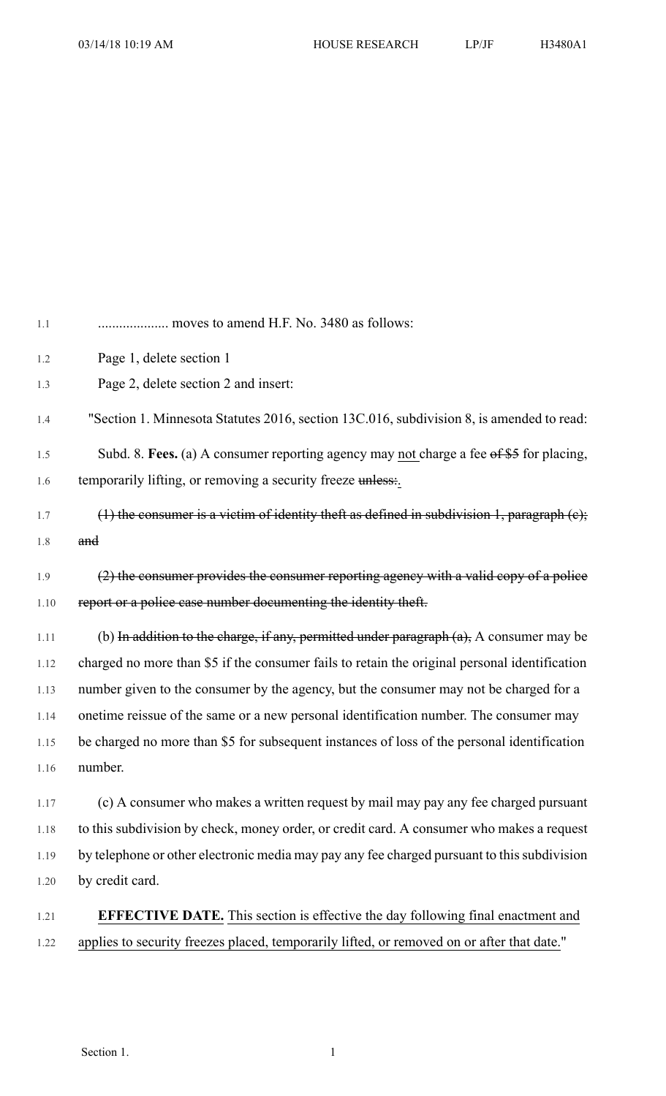| 1.1  |                                                                                                      |
|------|------------------------------------------------------------------------------------------------------|
| 1.2  | Page 1, delete section 1                                                                             |
| 1.3  | Page 2, delete section 2 and insert:                                                                 |
| 1.4  | "Section 1. Minnesota Statutes 2016, section 13C.016, subdivision 8, is amended to read:             |
| 1.5  | Subd. 8. Fees. (a) A consumer reporting agency may not charge a fee $\theta$ f $\theta$ for placing, |
| 1.6  | temporarily lifting, or removing a security freeze unless:                                           |
| 1.7  | (1) the consumer is a victim of identity theft as defined in subdivision 1, paragraph $(e)$ ;        |
| 1.8  | and                                                                                                  |
| 1.9  | (2) the consumer provides the consumer reporting agency with a valid copy of a police                |
| 1.10 | report or a police case number documenting the identity theft.                                       |
| 1.11 | (b) In addition to the charge, if any, permitted under paragraph $(a)$ , A consumer may be           |
| 1.12 | charged no more than \$5 if the consumer fails to retain the original personal identification        |
| 1.13 | number given to the consumer by the agency, but the consumer may not be charged for a                |
| 1.14 | onetime reissue of the same or a new personal identification number. The consumer may                |
| 1.15 | be charged no more than \$5 for subsequent instances of loss of the personal identification          |
| 1.16 | number.                                                                                              |
| 1.17 | (c) A consumer who makes a written request by mail may pay any fee charged pursuant                  |
| 1.18 | to this subdivision by check, money order, or credit card. A consumer who makes a request            |
| 1.19 | by telephone or other electronic media may pay any fee charged pursuant to this subdivision          |
| 1.20 | by credit card.                                                                                      |
| 1.21 | <b>EFFECTIVE DATE.</b> This section is effective the day following final enactment and               |
| 1.22 | applies to security freezes placed, temporarily lifted, or removed on or after that date."           |